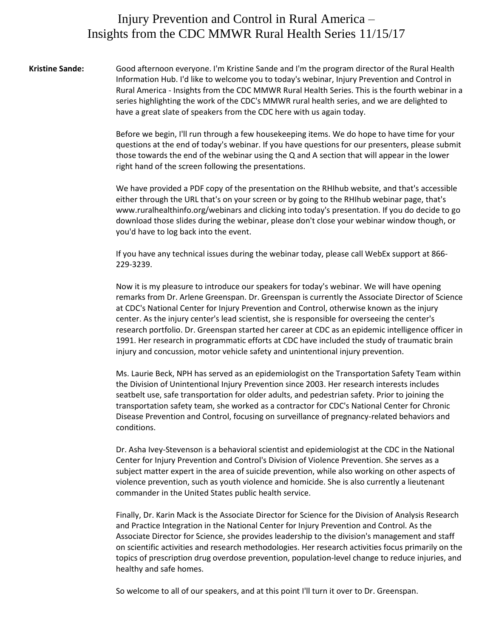## Injury Prevention and Control in Rural America – Insights from the CDC MMWR Rural Health Series 11/15/17

**Kristine Sande:** Good afternoon everyone. I'm Kristine Sande and I'm the program director of the Rural Health Information Hub. I'd like to welcome you to today's webinar, Injury Prevention and Control in Rural America - Insights from the CDC MMWR Rural Health Series. This is the fourth webinar in a series highlighting the work of the CDC's MMWR rural health series, and we are delighted to have a great slate of speakers from the CDC here with us again today.

> Before we begin, I'll run through a few housekeeping items. We do hope to have time for your questions at the end of today's webinar. If you have questions for our presenters, please submit those towards the end of the webinar using the Q and A section that will appear in the lower right hand of the screen following the presentations.

> We have provided a PDF copy of the presentation on the RHIhub website, and that's accessible either through the URL that's on your screen or by going to the RHIhub webinar page, that's www.ruralhealthinfo.org/webinars and clicking into today's presentation. If you do decide to go download those slides during the webinar, please don't close your webinar window though, or you'd have to log back into the event.

If you have any technical issues during the webinar today, please call WebEx support at 866- 229-3239.

Now it is my pleasure to introduce our speakers for today's webinar. We will have opening remarks from Dr. Arlene Greenspan. Dr. Greenspan is currently the Associate Director of Science at CDC's National Center for Injury Prevention and Control, otherwise known as the injury center. As the injury center's lead scientist, she is responsible for overseeing the center's research portfolio. Dr. Greenspan started her career at CDC as an epidemic intelligence officer in 1991. Her research in programmatic efforts at CDC have included the study of traumatic brain injury and concussion, motor vehicle safety and unintentional injury prevention.

Ms. Laurie Beck, NPH has served as an epidemiologist on the Transportation Safety Team within the Division of Unintentional Injury Prevention since 2003. Her research interests includes seatbelt use, safe transportation for older adults, and pedestrian safety. Prior to joining the transportation safety team, she worked as a contractor for CDC's National Center for Chronic Disease Prevention and Control, focusing on surveillance of pregnancy-related behaviors and conditions.

Dr. Asha Ivey-Stevenson is a behavioral scientist and epidemiologist at the CDC in the National Center for Injury Prevention and Control's Division of Violence Prevention. She serves as a subject matter expert in the area of suicide prevention, while also working on other aspects of violence prevention, such as youth violence and homicide. She is also currently a lieutenant commander in the United States public health service.

Finally, Dr. Karin Mack is the Associate Director for Science for the Division of Analysis Research and Practice Integration in the National Center for Injury Prevention and Control. As the Associate Director for Science, she provides leadership to the division's management and staff on scientific activities and research methodologies. Her research activities focus primarily on the topics of prescription drug overdose prevention, population-level change to reduce injuries, and healthy and safe homes.

So welcome to all of our speakers, and at this point I'll turn it over to Dr. Greenspan.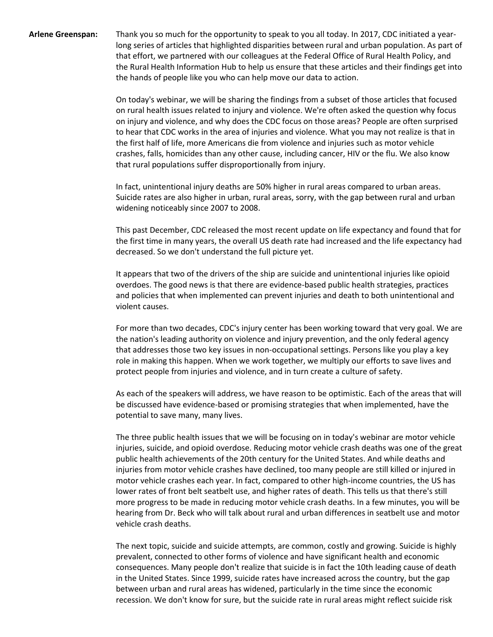**Arlene Greenspan:** Thank you so much for the opportunity to speak to you all today. In 2017, CDC initiated a yearlong series of articles that highlighted disparities between rural and urban population. As part of that effort, we partnered with our colleagues at the Federal Office of Rural Health Policy, and the Rural Health Information Hub to help us ensure that these articles and their findings get into the hands of people like you who can help move our data to action.

> On today's webinar, we will be sharing the findings from a subset of those articles that focused on rural health issues related to injury and violence. We're often asked the question why focus on injury and violence, and why does the CDC focus on those areas? People are often surprised to hear that CDC works in the area of injuries and violence. What you may not realize is that in the first half of life, more Americans die from violence and injuries such as motor vehicle crashes, falls, homicides than any other cause, including cancer, HIV or the flu. We also know that rural populations suffer disproportionally from injury.

> In fact, unintentional injury deaths are 50% higher in rural areas compared to urban areas. Suicide rates are also higher in urban, rural areas, sorry, with the gap between rural and urban widening noticeably since 2007 to 2008.

This past December, CDC released the most recent update on life expectancy and found that for the first time in many years, the overall US death rate had increased and the life expectancy had decreased. So we don't understand the full picture yet.

It appears that two of the drivers of the ship are suicide and unintentional injuries like opioid overdoes. The good news is that there are evidence-based public health strategies, practices and policies that when implemented can prevent injuries and death to both unintentional and violent causes.

For more than two decades, CDC's injury center has been working toward that very goal. We are the nation's leading authority on violence and injury prevention, and the only federal agency that addresses those two key issues in non-occupational settings. Persons like you play a key role in making this happen. When we work together, we multiply our efforts to save lives and protect people from injuries and violence, and in turn create a culture of safety.

As each of the speakers will address, we have reason to be optimistic. Each of the areas that will be discussed have evidence-based or promising strategies that when implemented, have the potential to save many, many lives.

The three public health issues that we will be focusing on in today's webinar are motor vehicle injuries, suicide, and opioid overdose. Reducing motor vehicle crash deaths was one of the great public health achievements of the 20th century for the United States. And while deaths and injuries from motor vehicle crashes have declined, too many people are still killed or injured in motor vehicle crashes each year. In fact, compared to other high-income countries, the US has lower rates of front belt seatbelt use, and higher rates of death. This tells us that there's still more progress to be made in reducing motor vehicle crash deaths. In a few minutes, you will be hearing from Dr. Beck who will talk about rural and urban differences in seatbelt use and motor vehicle crash deaths.

The next topic, suicide and suicide attempts, are common, costly and growing. Suicide is highly prevalent, connected to other forms of violence and have significant health and economic consequences. Many people don't realize that suicide is in fact the 10th leading cause of death in the United States. Since 1999, suicide rates have increased across the country, but the gap between urban and rural areas has widened, particularly in the time since the economic recession. We don't know for sure, but the suicide rate in rural areas might reflect suicide risk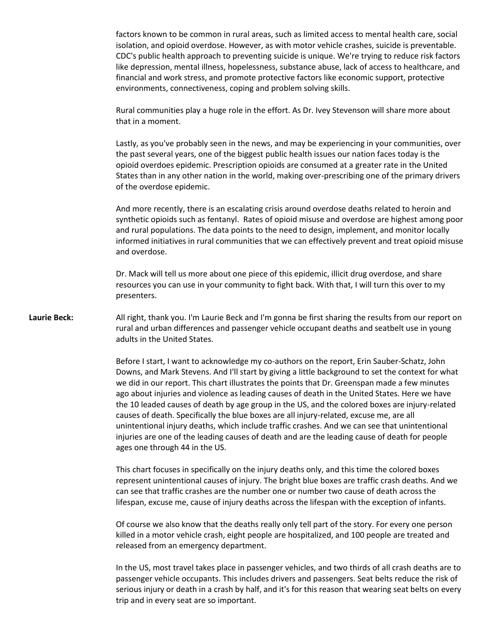factors known to be common in rural areas, such as limited access to mental health care, social isolation, and opioid overdose. However, as with motor vehicle crashes, suicide is preventable. CDC's public health approach to preventing suicide is unique. We're trying to reduce risk factors like depression, mental illness, hopelessness, substance abuse, lack of access to healthcare, and financial and work stress, and promote protective factors like economic support, protective environments, connectiveness, coping and problem solving skills.

Rural communities play a huge role in the effort. As Dr. Ivey Stevenson will share more about that in a moment.

Lastly, as you've probably seen in the news, and may be experiencing in your communities, over the past several years, one of the biggest public health issues our nation faces today is the opioid overdoes epidemic. Prescription opioids are consumed at a greater rate in the United States than in any other nation in the world, making over-prescribing one of the primary drivers of the overdose epidemic.

And more recently, there is an escalating crisis around overdose deaths related to heroin and synthetic opioids such as fentanyl. Rates of opioid misuse and overdose are highest among poor and rural populations. The data points to the need to design, implement, and monitor locally informed initiatives in rural communities that we can effectively prevent and treat opioid misuse and overdose.

Dr. Mack will tell us more about one piece of this epidemic, illicit drug overdose, and share resources you can use in your community to fight back. With that, I will turn this over to my presenters.

**Laurie Beck:** All right, thank you. I'm Laurie Beck and I'm gonna be first sharing the results from our report on rural and urban differences and passenger vehicle occupant deaths and seatbelt use in young adults in the United States.

> Before I start, I want to acknowledge my co-authors on the report, Erin Sauber-Schatz, John Downs, and Mark Stevens. And I'll start by giving a little background to set the context for what we did in our report. This chart illustrates the points that Dr. Greenspan made a few minutes ago about injuries and violence as leading causes of death in the United States. Here we have the 10 leaded causes of death by age group in the US, and the colored boxes are injury-related causes of death. Specifically the blue boxes are all injury-related, excuse me, are all unintentional injury deaths, which include traffic crashes. And we can see that unintentional injuries are one of the leading causes of death and are the leading cause of death for people ages one through 44 in the US.

> This chart focuses in specifically on the injury deaths only, and this time the colored boxes represent unintentional causes of injury. The bright blue boxes are traffic crash deaths. And we can see that traffic crashes are the number one or number two cause of death across the lifespan, excuse me, cause of injury deaths across the lifespan with the exception of infants.

Of course we also know that the deaths really only tell part of the story. For every one person killed in a motor vehicle crash, eight people are hospitalized, and 100 people are treated and released from an emergency department.

In the US, most travel takes place in passenger vehicles, and two thirds of all crash deaths are to passenger vehicle occupants. This includes drivers and passengers. Seat belts reduce the risk of serious injury or death in a crash by half, and it's for this reason that wearing seat belts on every trip and in every seat are so important.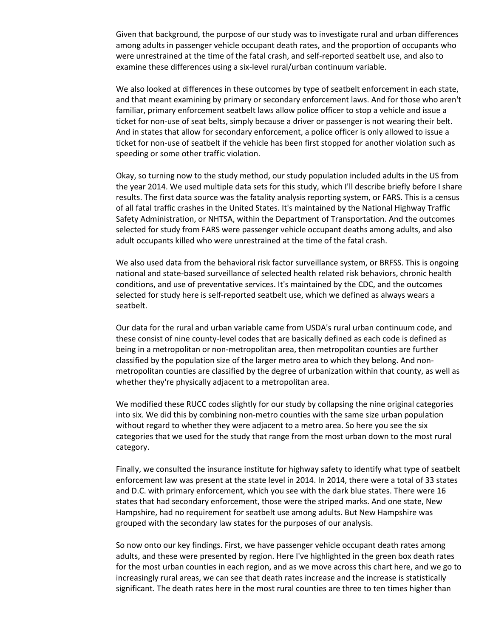Given that background, the purpose of our study was to investigate rural and urban differences among adults in passenger vehicle occupant death rates, and the proportion of occupants who were unrestrained at the time of the fatal crash, and self-reported seatbelt use, and also to examine these differences using a six-level rural/urban continuum variable.

We also looked at differences in these outcomes by type of seatbelt enforcement in each state, and that meant examining by primary or secondary enforcement laws. And for those who aren't familiar, primary enforcement seatbelt laws allow police officer to stop a vehicle and issue a ticket for non-use of seat belts, simply because a driver or passenger is not wearing their belt. And in states that allow for secondary enforcement, a police officer is only allowed to issue a ticket for non-use of seatbelt if the vehicle has been first stopped for another violation such as speeding or some other traffic violation.

Okay, so turning now to the study method, our study population included adults in the US from the year 2014. We used multiple data sets for this study, which I'll describe briefly before I share results. The first data source was the fatality analysis reporting system, or FARS. This is a census of all fatal traffic crashes in the United States. It's maintained by the National Highway Traffic Safety Administration, or NHTSA, within the Department of Transportation. And the outcomes selected for study from FARS were passenger vehicle occupant deaths among adults, and also adult occupants killed who were unrestrained at the time of the fatal crash.

We also used data from the behavioral risk factor surveillance system, or BRFSS. This is ongoing national and state-based surveillance of selected health related risk behaviors, chronic health conditions, and use of preventative services. It's maintained by the CDC, and the outcomes selected for study here is self-reported seatbelt use, which we defined as always wears a seatbelt.

Our data for the rural and urban variable came from USDA's rural urban continuum code, and these consist of nine county-level codes that are basically defined as each code is defined as being in a metropolitan or non-metropolitan area, then metropolitan counties are further classified by the population size of the larger metro area to which they belong. And nonmetropolitan counties are classified by the degree of urbanization within that county, as well as whether they're physically adjacent to a metropolitan area.

We modified these RUCC codes slightly for our study by collapsing the nine original categories into six. We did this by combining non-metro counties with the same size urban population without regard to whether they were adjacent to a metro area. So here you see the six categories that we used for the study that range from the most urban down to the most rural category.

Finally, we consulted the insurance institute for highway safety to identify what type of seatbelt enforcement law was present at the state level in 2014. In 2014, there were a total of 33 states and D.C. with primary enforcement, which you see with the dark blue states. There were 16 states that had secondary enforcement, those were the striped marks. And one state, New Hampshire, had no requirement for seatbelt use among adults. But New Hampshire was grouped with the secondary law states for the purposes of our analysis.

So now onto our key findings. First, we have passenger vehicle occupant death rates among adults, and these were presented by region. Here I've highlighted in the green box death rates for the most urban counties in each region, and as we move across this chart here, and we go to increasingly rural areas, we can see that death rates increase and the increase is statistically significant. The death rates here in the most rural counties are three to ten times higher than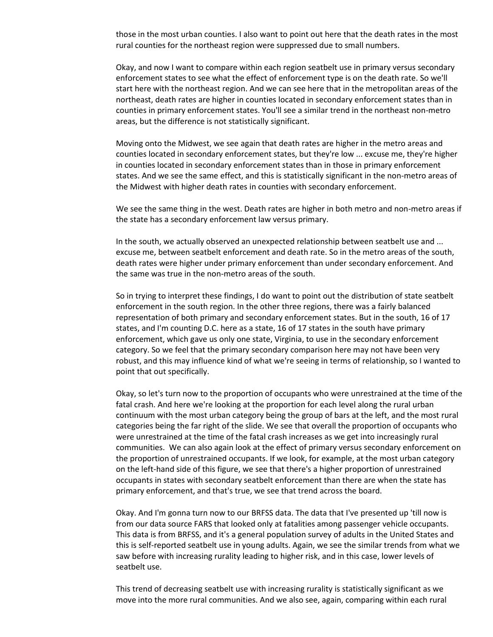those in the most urban counties. I also want to point out here that the death rates in the most rural counties for the northeast region were suppressed due to small numbers.

Okay, and now I want to compare within each region seatbelt use in primary versus secondary enforcement states to see what the effect of enforcement type is on the death rate. So we'll start here with the northeast region. And we can see here that in the metropolitan areas of the northeast, death rates are higher in counties located in secondary enforcement states than in counties in primary enforcement states. You'll see a similar trend in the northeast non-metro areas, but the difference is not statistically significant.

Moving onto the Midwest, we see again that death rates are higher in the metro areas and counties located in secondary enforcement states, but they're low ... excuse me, they're higher in counties located in secondary enforcement states than in those in primary enforcement states. And we see the same effect, and this is statistically significant in the non-metro areas of the Midwest with higher death rates in counties with secondary enforcement.

We see the same thing in the west. Death rates are higher in both metro and non-metro areas if the state has a secondary enforcement law versus primary.

In the south, we actually observed an unexpected relationship between seatbelt use and ... excuse me, between seatbelt enforcement and death rate. So in the metro areas of the south, death rates were higher under primary enforcement than under secondary enforcement. And the same was true in the non-metro areas of the south.

So in trying to interpret these findings, I do want to point out the distribution of state seatbelt enforcement in the south region. In the other three regions, there was a fairly balanced representation of both primary and secondary enforcement states. But in the south, 16 of 17 states, and I'm counting D.C. here as a state, 16 of 17 states in the south have primary enforcement, which gave us only one state, Virginia, to use in the secondary enforcement category. So we feel that the primary secondary comparison here may not have been very robust, and this may influence kind of what we're seeing in terms of relationship, so I wanted to point that out specifically.

Okay, so let's turn now to the proportion of occupants who were unrestrained at the time of the fatal crash. And here we're looking at the proportion for each level along the rural urban continuum with the most urban category being the group of bars at the left, and the most rural categories being the far right of the slide. We see that overall the proportion of occupants who were unrestrained at the time of the fatal crash increases as we get into increasingly rural communities. We can also again look at the effect of primary versus secondary enforcement on the proportion of unrestrained occupants. If we look, for example, at the most urban category on the left-hand side of this figure, we see that there's a higher proportion of unrestrained occupants in states with secondary seatbelt enforcement than there are when the state has primary enforcement, and that's true, we see that trend across the board.

Okay. And I'm gonna turn now to our BRFSS data. The data that I've presented up 'till now is from our data source FARS that looked only at fatalities among passenger vehicle occupants. This data is from BRFSS, and it's a general population survey of adults in the United States and this is self-reported seatbelt use in young adults. Again, we see the similar trends from what we saw before with increasing rurality leading to higher risk, and in this case, lower levels of seatbelt use.

This trend of decreasing seatbelt use with increasing rurality is statistically significant as we move into the more rural communities. And we also see, again, comparing within each rural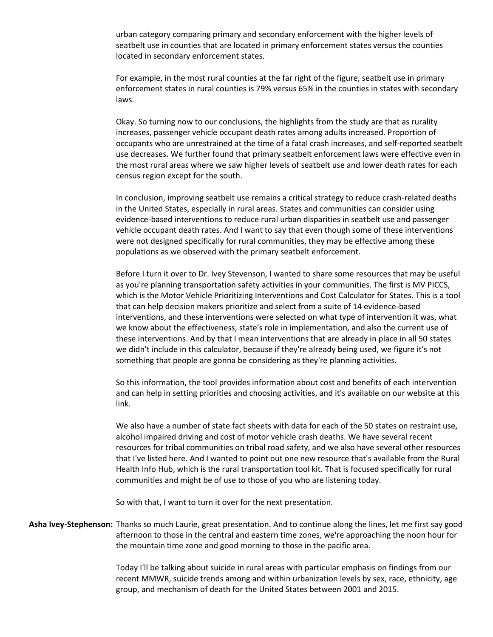urban category comparing primary and secondary enforcement with the higher levels of seatbelt use in counties that are located in primary enforcement states versus the counties located in secondary enforcement states.

For example, in the most rural counties at the far right of the figure, seatbelt use in primary enforcement states in rural counties is 79% versus 65% in the counties in states with secondary laws.

Okay. So turning now to our conclusions, the highlights from the study are that as rurality increases, passenger vehicle occupant death rates among adults increased. Proportion of occupants who are unrestrained at the time of a fatal crash increases, and self-reported seatbelt use decreases. We further found that primary seatbelt enforcement laws were effective even in the most rural areas where we saw higher levels of seatbelt use and lower death rates for each census region except for the south.

In conclusion, improving seatbelt use remains a critical strategy to reduce crash-related deaths in the United States, especially in rural areas. States and communities can consider using evidence-based interventions to reduce rural urban disparities in seatbelt use and passenger vehicle occupant death rates. And I want to say that even though some of these interventions were not designed specifically for rural communities, they may be effective among these populations as we observed with the primary seatbelt enforcement.

Before I turn it over to Dr. Ivey Stevenson, I wanted to share some resources that may be useful as you're planning transportation safety activities in your communities. The first is MV PICCS, which is the Motor Vehicle Prioritizing Interventions and Cost Calculator for States. This is a tool that can help decision makers prioritize and select from a suite of 14 evidence-based interventions, and these interventions were selected on what type of intervention it was, what we know about the effectiveness, state's role in implementation, and also the current use of these interventions. And by that I mean interventions that are already in place in all 50 states we didn't include in this calculator, because if they're already being used, we figure it's not something that people are gonna be considering as they're planning activities.

So this information, the tool provides information about cost and benefits of each intervention and can help in setting priorities and choosing activities, and it's available on our website at this link.

We also have a number of state fact sheets with data for each of the 50 states on restraint use, alcohol impaired driving and cost of motor vehicle crash deaths. We have several recent resources for tribal communities on tribal road safety, and we also have several other resources that I've listed here. And I wanted to point out one new resource that's available from the Rural Health Info Hub, which is the rural transportation tool kit. That is focused specifically for rural communities and might be of use to those of you who are listening today.

So with that, I want to turn it over for the next presentation.

**Asha Ivey-Stephenson:** Thanks so much Laurie, great presentation. And to continue along the lines, let me first say good afternoon to those in the central and eastern time zones, we're approaching the noon hour for the mountain time zone and good morning to those in the pacific area.

> Today I'll be talking about suicide in rural areas with particular emphasis on findings from our recent MMWR, suicide trends among and within urbanization levels by sex, race, ethnicity, age group, and mechanism of death for the United States between 2001 and 2015.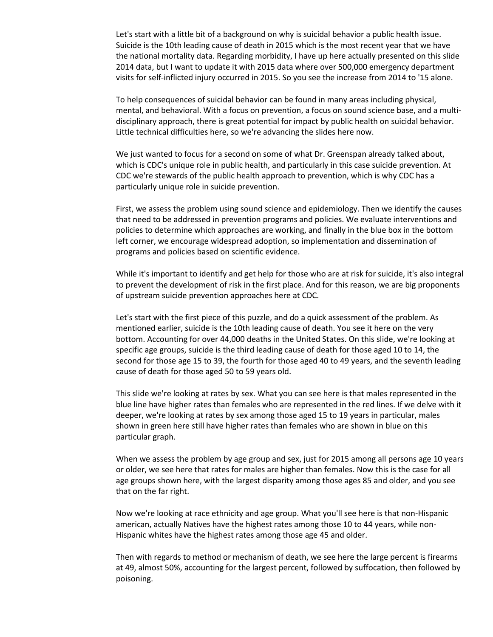Let's start with a little bit of a background on why is suicidal behavior a public health issue. Suicide is the 10th leading cause of death in 2015 which is the most recent year that we have the national mortality data. Regarding morbidity, I have up here actually presented on this slide 2014 data, but I want to update it with 2015 data where over 500,000 emergency department visits for self-inflicted injury occurred in 2015. So you see the increase from 2014 to '15 alone.

To help consequences of suicidal behavior can be found in many areas including physical, mental, and behavioral. With a focus on prevention, a focus on sound science base, and a multidisciplinary approach, there is great potential for impact by public health on suicidal behavior. Little technical difficulties here, so we're advancing the slides here now.

We just wanted to focus for a second on some of what Dr. Greenspan already talked about, which is CDC's unique role in public health, and particularly in this case suicide prevention. At CDC we're stewards of the public health approach to prevention, which is why CDC has a particularly unique role in suicide prevention.

First, we assess the problem using sound science and epidemiology. Then we identify the causes that need to be addressed in prevention programs and policies. We evaluate interventions and policies to determine which approaches are working, and finally in the blue box in the bottom left corner, we encourage widespread adoption, so implementation and dissemination of programs and policies based on scientific evidence.

While it's important to identify and get help for those who are at risk for suicide, it's also integral to prevent the development of risk in the first place. And for this reason, we are big proponents of upstream suicide prevention approaches here at CDC.

Let's start with the first piece of this puzzle, and do a quick assessment of the problem. As mentioned earlier, suicide is the 10th leading cause of death. You see it here on the very bottom. Accounting for over 44,000 deaths in the United States. On this slide, we're looking at specific age groups, suicide is the third leading cause of death for those aged 10 to 14, the second for those age 15 to 39, the fourth for those aged 40 to 49 years, and the seventh leading cause of death for those aged 50 to 59 years old.

This slide we're looking at rates by sex. What you can see here is that males represented in the blue line have higher rates than females who are represented in the red lines. If we delve with it deeper, we're looking at rates by sex among those aged 15 to 19 years in particular, males shown in green here still have higher rates than females who are shown in blue on this particular graph.

When we assess the problem by age group and sex, just for 2015 among all persons age 10 years or older, we see here that rates for males are higher than females. Now this is the case for all age groups shown here, with the largest disparity among those ages 85 and older, and you see that on the far right.

Now we're looking at race ethnicity and age group. What you'll see here is that non-Hispanic american, actually Natives have the highest rates among those 10 to 44 years, while non-Hispanic whites have the highest rates among those age 45 and older.

Then with regards to method or mechanism of death, we see here the large percent is firearms at 49, almost 50%, accounting for the largest percent, followed by suffocation, then followed by poisoning.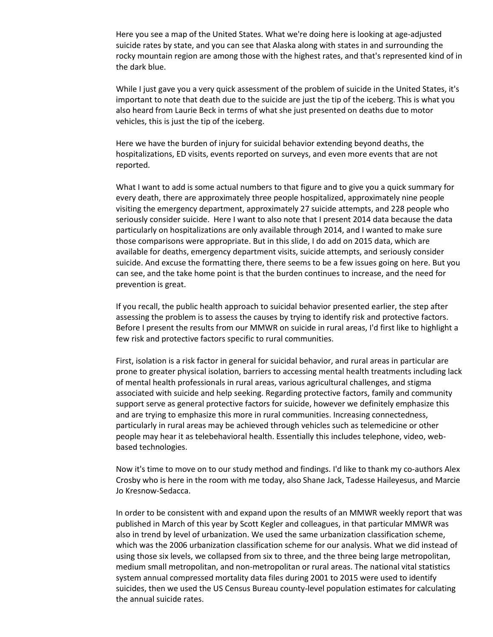Here you see a map of the United States. What we're doing here is looking at age-adjusted suicide rates by state, and you can see that Alaska along with states in and surrounding the rocky mountain region are among those with the highest rates, and that's represented kind of in the dark blue.

While I just gave you a very quick assessment of the problem of suicide in the United States, it's important to note that death due to the suicide are just the tip of the iceberg. This is what you also heard from Laurie Beck in terms of what she just presented on deaths due to motor vehicles, this is just the tip of the iceberg.

Here we have the burden of injury for suicidal behavior extending beyond deaths, the hospitalizations, ED visits, events reported on surveys, and even more events that are not reported.

What I want to add is some actual numbers to that figure and to give you a quick summary for every death, there are approximately three people hospitalized, approximately nine people visiting the emergency department, approximately 27 suicide attempts, and 228 people who seriously consider suicide. Here I want to also note that I present 2014 data because the data particularly on hospitalizations are only available through 2014, and I wanted to make sure those comparisons were appropriate. But in this slide, I do add on 2015 data, which are available for deaths, emergency department visits, suicide attempts, and seriously consider suicide. And excuse the formatting there, there seems to be a few issues going on here. But you can see, and the take home point is that the burden continues to increase, and the need for prevention is great.

If you recall, the public health approach to suicidal behavior presented earlier, the step after assessing the problem is to assess the causes by trying to identify risk and protective factors. Before I present the results from our MMWR on suicide in rural areas, I'd first like to highlight a few risk and protective factors specific to rural communities.

First, isolation is a risk factor in general for suicidal behavior, and rural areas in particular are prone to greater physical isolation, barriers to accessing mental health treatments including lack of mental health professionals in rural areas, various agricultural challenges, and stigma associated with suicide and help seeking. Regarding protective factors, family and community support serve as general protective factors for suicide, however we definitely emphasize this and are trying to emphasize this more in rural communities. Increasing connectedness, particularly in rural areas may be achieved through vehicles such as telemedicine or other people may hear it as telebehavioral health. Essentially this includes telephone, video, webbased technologies.

Now it's time to move on to our study method and findings. I'd like to thank my co-authors Alex Crosby who is here in the room with me today, also Shane Jack, Tadesse Haileyesus, and Marcie Jo Kresnow-Sedacca.

In order to be consistent with and expand upon the results of an MMWR weekly report that was published in March of this year by Scott Kegler and colleagues, in that particular MMWR was also in trend by level of urbanization. We used the same urbanization classification scheme, which was the 2006 urbanization classification scheme for our analysis. What we did instead of using those six levels, we collapsed from six to three, and the three being large metropolitan, medium small metropolitan, and non-metropolitan or rural areas. The national vital statistics system annual compressed mortality data files during 2001 to 2015 were used to identify suicides, then we used the US Census Bureau county-level population estimates for calculating the annual suicide rates.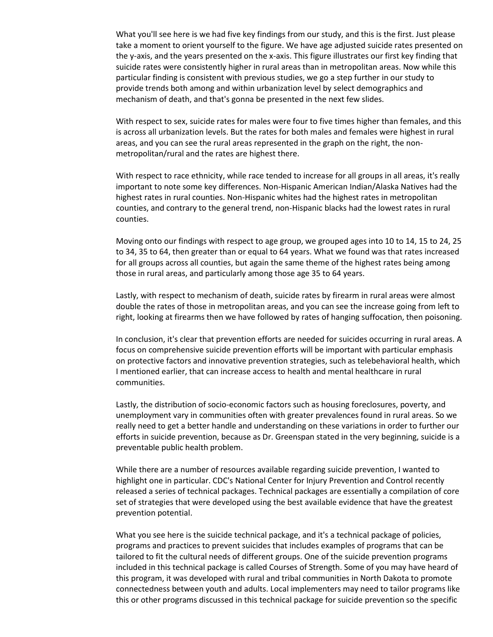What you'll see here is we had five key findings from our study, and this is the first. Just please take a moment to orient yourself to the figure. We have age adjusted suicide rates presented on the y-axis, and the years presented on the x-axis. This figure illustrates our first key finding that suicide rates were consistently higher in rural areas than in metropolitan areas. Now while this particular finding is consistent with previous studies, we go a step further in our study to provide trends both among and within urbanization level by select demographics and mechanism of death, and that's gonna be presented in the next few slides.

With respect to sex, suicide rates for males were four to five times higher than females, and this is across all urbanization levels. But the rates for both males and females were highest in rural areas, and you can see the rural areas represented in the graph on the right, the nonmetropolitan/rural and the rates are highest there.

With respect to race ethnicity, while race tended to increase for all groups in all areas, it's really important to note some key differences. Non-Hispanic American Indian/Alaska Natives had the highest rates in rural counties. Non-Hispanic whites had the highest rates in metropolitan counties, and contrary to the general trend, non-Hispanic blacks had the lowest rates in rural counties.

Moving onto our findings with respect to age group, we grouped ages into 10 to 14, 15 to 24, 25 to 34, 35 to 64, then greater than or equal to 64 years. What we found was that rates increased for all groups across all counties, but again the same theme of the highest rates being among those in rural areas, and particularly among those age 35 to 64 years.

Lastly, with respect to mechanism of death, suicide rates by firearm in rural areas were almost double the rates of those in metropolitan areas, and you can see the increase going from left to right, looking at firearms then we have followed by rates of hanging suffocation, then poisoning.

In conclusion, it's clear that prevention efforts are needed for suicides occurring in rural areas. A focus on comprehensive suicide prevention efforts will be important with particular emphasis on protective factors and innovative prevention strategies, such as telebehavioral health, which I mentioned earlier, that can increase access to health and mental healthcare in rural communities.

Lastly, the distribution of socio-economic factors such as housing foreclosures, poverty, and unemployment vary in communities often with greater prevalences found in rural areas. So we really need to get a better handle and understanding on these variations in order to further our efforts in suicide prevention, because as Dr. Greenspan stated in the very beginning, suicide is a preventable public health problem.

While there are a number of resources available regarding suicide prevention, I wanted to highlight one in particular. CDC's National Center for Injury Prevention and Control recently released a series of technical packages. Technical packages are essentially a compilation of core set of strategies that were developed using the best available evidence that have the greatest prevention potential.

What you see here is the suicide technical package, and it's a technical package of policies, programs and practices to prevent suicides that includes examples of programs that can be tailored to fit the cultural needs of different groups. One of the suicide prevention programs included in this technical package is called Courses of Strength. Some of you may have heard of this program, it was developed with rural and tribal communities in North Dakota to promote connectedness between youth and adults. Local implementers may need to tailor programs like this or other programs discussed in this technical package for suicide prevention so the specific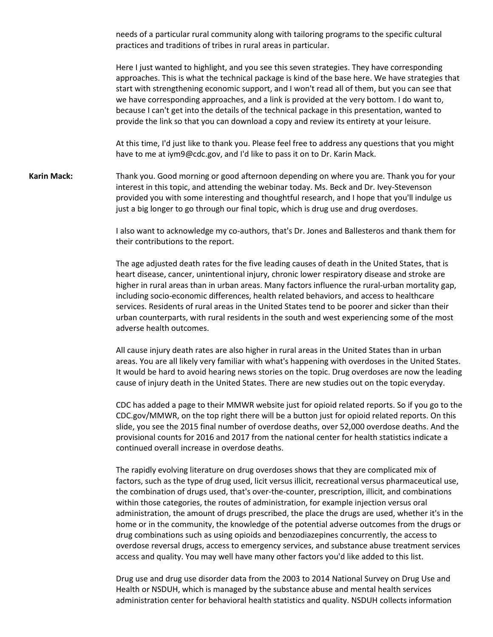needs of a particular rural community along with tailoring programs to the specific cultural practices and traditions of tribes in rural areas in particular.

Here I just wanted to highlight, and you see this seven strategies. They have corresponding approaches. This is what the technical package is kind of the base here. We have strategies that start with strengthening economic support, and I won't read all of them, but you can see that we have corresponding approaches, and a link is provided at the very bottom. I do want to, because I can't get into the details of the technical package in this presentation, wanted to provide the link so that you can download a copy and review its entirety at your leisure.

At this time, I'd just like to thank you. Please feel free to address any questions that you might have to me at iym9@cdc.gov, and I'd like to pass it on to Dr. Karin Mack.

**Karin Mack:** Thank you. Good morning or good afternoon depending on where you are. Thank you for your interest in this topic, and attending the webinar today. Ms. Beck and Dr. Ivey-Stevenson provided you with some interesting and thoughtful research, and I hope that you'll indulge us just a big longer to go through our final topic, which is drug use and drug overdoses.

> I also want to acknowledge my co-authors, that's Dr. Jones and Ballesteros and thank them for their contributions to the report.

> The age adjusted death rates for the five leading causes of death in the United States, that is heart disease, cancer, unintentional injury, chronic lower respiratory disease and stroke are higher in rural areas than in urban areas. Many factors influence the rural-urban mortality gap, including socio-economic differences, health related behaviors, and access to healthcare services. Residents of rural areas in the United States tend to be poorer and sicker than their urban counterparts, with rural residents in the south and west experiencing some of the most adverse health outcomes.

All cause injury death rates are also higher in rural areas in the United States than in urban areas. You are all likely very familiar with what's happening with overdoses in the United States. It would be hard to avoid hearing news stories on the topic. Drug overdoses are now the leading cause of injury death in the United States. There are new studies out on the topic everyday.

CDC has added a page to their MMWR website just for opioid related reports. So if you go to the CDC.gov/MMWR, on the top right there will be a button just for opioid related reports. On this slide, you see the 2015 final number of overdose deaths, over 52,000 overdose deaths. And the provisional counts for 2016 and 2017 from the national center for health statistics indicate a continued overall increase in overdose deaths.

The rapidly evolving literature on drug overdoses shows that they are complicated mix of factors, such as the type of drug used, licit versus illicit, recreational versus pharmaceutical use, the combination of drugs used, that's over-the-counter, prescription, illicit, and combinations within those categories, the routes of administration, for example injection versus oral administration, the amount of drugs prescribed, the place the drugs are used, whether it's in the home or in the community, the knowledge of the potential adverse outcomes from the drugs or drug combinations such as using opioids an[d benzodiazepines](https://www.google.com/search?client=firefox-b&q=benzodiazepines&spell=1&sa=X&ved=0ahUKEwiiyd_8_MXXAhVD4oMKHQiXBE4QvwUIJSgA) concurrently, the access to overdose reversal drugs, access to emergency services, and substance abuse treatment services access and quality. You may well have many other factors you'd like added to this list.

Drug use and drug use disorder data from the 2003 to 2014 National Survey on Drug Use and Health or NSDUH, which is managed by the substance abuse and mental health services administration center for behavioral health statistics and quality. NSDUH collects information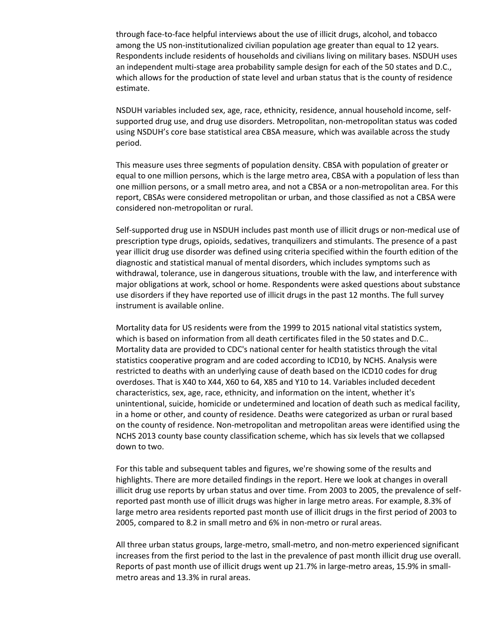through face-to-face helpful interviews about the use of illicit drugs, alcohol, and tobacco among the US non-institutionalized civilian population age greater than equal to 12 years. Respondents include residents of households and civilians living on military bases. NSDUH uses an independent multi-stage area probability sample design for each of the 50 states and D.C., which allows for the production of state level and urban status that is the county of residence estimate.

NSDUH variables included sex, age, race, ethnicity, residence, annual household income, selfsupported drug use, and drug use disorders. Metropolitan, non-metropolitan status was coded using NSDUH's core base statistical area CBSA measure, which was available across the study period.

This measure uses three segments of population density. CBSA with population of greater or equal to one million persons, which is the large metro area, CBSA with a population of less than one million persons, or a small metro area, and not a CBSA or a non-metropolitan area. For this report, CBSAs were considered metropolitan or urban, and those classified as not a CBSA were considered non-metropolitan or rural.

Self-supported drug use in NSDUH includes past month use of illicit drugs or non-medical use of prescription type drugs, opioids, sedatives, tranquilizers and stimulants. The presence of a past year illicit drug use disorder was defined using criteria specified within the fourth edition of the diagnostic and statistical manual of mental disorders, which includes symptoms such as withdrawal, tolerance, use in dangerous situations, trouble with the law, and interference with major obligations at work, school or home. Respondents were asked questions about substance use disorders if they have reported use of illicit drugs in the past 12 months. The full survey instrument is available online.

Mortality data for US residents were from the 1999 to 2015 national vital statistics system, which is based on information from all death certificates filed in the 50 states and D.C.. Mortality data are provided to CDC's national center for health statistics through the vital statistics cooperative program and are coded according to ICD10, by NCHS. Analysis were restricted to deaths with an underlying cause of death based on the ICD10 codes for drug overdoses. That is X40 to X44, X60 to 64, X85 and Y10 to 14. Variables included decedent characteristics, sex, age, race, ethnicity, and information on the intent, whether it's unintentional, suicide, homicide or undetermined and location of death such as medical facility, in a home or other, and county of residence. Deaths were categorized as urban or rural based on the county of residence. Non-metropolitan and metropolitan areas were identified using the NCHS 2013 county base county classification scheme, which has six levels that we collapsed down to two.

For this table and subsequent tables and figures, we're showing some of the results and highlights. There are more detailed findings in the report. Here we look at changes in overall illicit drug use reports by urban status and over time. From 2003 to 2005, the prevalence of selfreported past month use of illicit drugs was higher in large metro areas. For example, 8.3% of large metro area residents reported past month use of illicit drugs in the first period of 2003 to 2005, compared to 8.2 in small metro and 6% in non-metro or rural areas.

All three urban status groups, large-metro, small-metro, and non-metro experienced significant increases from the first period to the last in the prevalence of past month illicit drug use overall. Reports of past month use of illicit drugs went up 21.7% in large-metro areas, 15.9% in smallmetro areas and 13.3% in rural areas.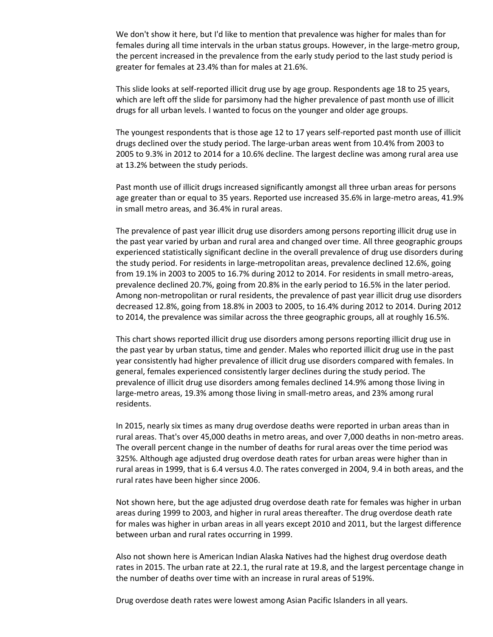We don't show it here, but I'd like to mention that prevalence was higher for males than for females during all time intervals in the urban status groups. However, in the large-metro group, the percent increased in the prevalence from the early study period to the last study period is greater for females at 23.4% than for males at 21.6%.

This slide looks at self-reported illicit drug use by age group. Respondents age 18 to 25 years, which are left off the slide for parsimony had the higher prevalence of past month use of illicit drugs for all urban levels. I wanted to focus on the younger and older age groups.

The youngest respondents that is those age 12 to 17 years self-reported past month use of illicit drugs declined over the study period. The large-urban areas went from 10.4% from 2003 to 2005 to 9.3% in 2012 to 2014 for a 10.6% decline. The largest decline was among rural area use at 13.2% between the study periods.

Past month use of illicit drugs increased significantly amongst all three urban areas for persons age greater than or equal to 35 years. Reported use increased 35.6% in large-metro areas, 41.9% in small metro areas, and 36.4% in rural areas.

The prevalence of past year illicit drug use disorders among persons reporting illicit drug use in the past year varied by urban and rural area and changed over time. All three geographic groups experienced statistically significant decline in the overall prevalence of drug use disorders during the study period. For residents in large-metropolitan areas, prevalence declined 12.6%, going from 19.1% in 2003 to 2005 to 16.7% during 2012 to 2014. For residents in small metro-areas, prevalence declined 20.7%, going from 20.8% in the early period to 16.5% in the later period. Among non-metropolitan or rural residents, the prevalence of past year illicit drug use disorders decreased 12.8%, going from 18.8% in 2003 to 2005, to 16.4% during 2012 to 2014. During 2012 to 2014, the prevalence was similar across the three geographic groups, all at roughly 16.5%.

This chart shows reported illicit drug use disorders among persons reporting illicit drug use in the past year by urban status, time and gender. Males who reported illicit drug use in the past year consistently had higher prevalence of illicit drug use disorders compared with females. In general, females experienced consistently larger declines during the study period. The prevalence of illicit drug use disorders among females declined 14.9% among those living in large-metro areas, 19.3% among those living in small-metro areas, and 23% among rural residents.

In 2015, nearly six times as many drug overdose deaths were reported in urban areas than in rural areas. That's over 45,000 deaths in metro areas, and over 7,000 deaths in non-metro areas. The overall percent change in the number of deaths for rural areas over the time period was 325%. Although age adjusted drug overdose death rates for urban areas were higher than in rural areas in 1999, that is 6.4 versus 4.0. The rates converged in 2004, 9.4 in both areas, and the rural rates have been higher since 2006.

Not shown here, but the age adjusted drug overdose death rate for females was higher in urban areas during 1999 to 2003, and higher in rural areas thereafter. The drug overdose death rate for males was higher in urban areas in all years except 2010 and 2011, but the largest difference between urban and rural rates occurring in 1999.

Also not shown here is American Indian Alaska Natives had the highest drug overdose death rates in 2015. The urban rate at 22.1, the rural rate at 19.8, and the largest percentage change in the number of deaths over time with an increase in rural areas of 519%.

Drug overdose death rates were lowest among Asian Pacific Islanders in all years.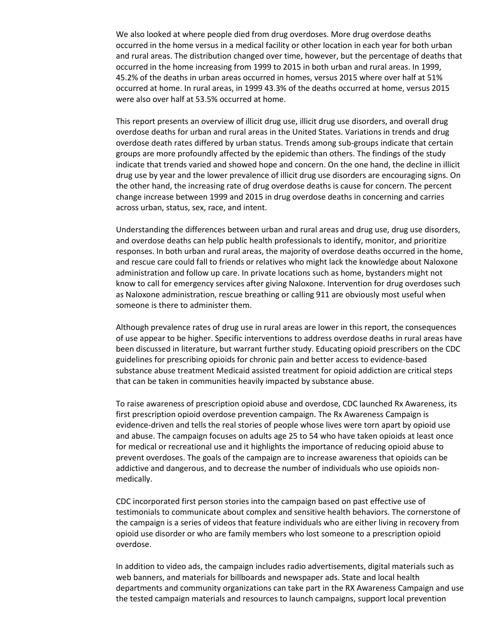We also looked at where people died from drug overdoses. More drug overdose deaths occurred in the home versus in a medical facility or other location in each year for both urban and rural areas. The distribution changed over time, however, but the percentage of deaths that occurred in the home increasing from 1999 to 2015 in both urban and rural areas. In 1999, 45.2% of the deaths in urban areas occurred in homes, versus 2015 where over half at 51% occurred at home. In rural areas, in 1999 43.3% of the deaths occurred at home, versus 2015 were also over half at 53.5% occurred at home.

This report presents an overview of illicit drug use, illicit drug use disorders, and overall drug overdose deaths for urban and rural areas in the United States. Variations in trends and drug overdose death rates differed by urban status. Trends among sub-groups indicate that certain groups are more profoundly affected by the epidemic than others. The findings of the study indicate that trends varied and showed hope and concern. On the one hand, the decline in illicit drug use by year and the lower prevalence of illicit drug use disorders are encouraging signs. On the other hand, the increasing rate of drug overdose deaths is cause for concern. The percent change increase between 1999 and 2015 in drug overdose deaths in concerning and carries across urban, status, sex, race, and intent.

Understanding the differences between urban and rural areas and drug use, drug use disorders, and overdose deaths can help public health professionals to identify, monitor, and prioritize responses. In both urban and rural areas, the majority of overdose deaths occurred in the home, and rescue care could fall to friends or relatives who might lack the knowledge about Naloxone administration and follow up care. In private locations such as home, bystanders might not know to call for emergency services after giving Naloxone. Intervention for drug overdoses such as Naloxone administration, rescue breathing or calling 911 are obviously most useful when someone is there to administer them.

Although prevalence rates of drug use in rural areas are lower in this report, the consequences of use appear to be higher. Specific interventions to address overdose deaths in rural areas have been discussed in literature, but warrant further study. Educating opioid prescribers on the CDC guidelines for prescribing opioids for chronic pain and better access to evidence-based substance abuse treatment Medicaid assisted treatment for opioid addiction are critical steps that can be taken in communities heavily impacted by substance abuse.

To raise awareness of prescription opioid abuse and overdose, CDC launched Rx Awareness, its first prescription opioid overdose prevention campaign. The Rx Awareness Campaign is evidence-driven and tells the real stories of people whose lives were torn apart by opioid use and abuse. The campaign focuses on adults age 25 to 54 who have taken opioids at least once for medical or recreational use and it highlights the importance of reducing opioid abuse to prevent overdoses. The goals of the campaign are to increase awareness that opioids can be addictive and dangerous, and to decrease the number of individuals who use opioids nonmedically.

CDC incorporated first person stories into the campaign based on past effective use of testimonials to communicate about complex and sensitive health behaviors. The cornerstone of the campaign is a series of videos that feature individuals who are either living in recovery from opioid use disorder or who are family members who lost someone to a prescription opioid overdose.

In addition to video ads, the campaign includes radio advertisements, digital materials such as web banners, and materials for billboards and newspaper ads. State and local health departments and community organizations can take part in the RX Awareness Campaign and use the tested campaign materials and resources to launch campaigns, support local prevention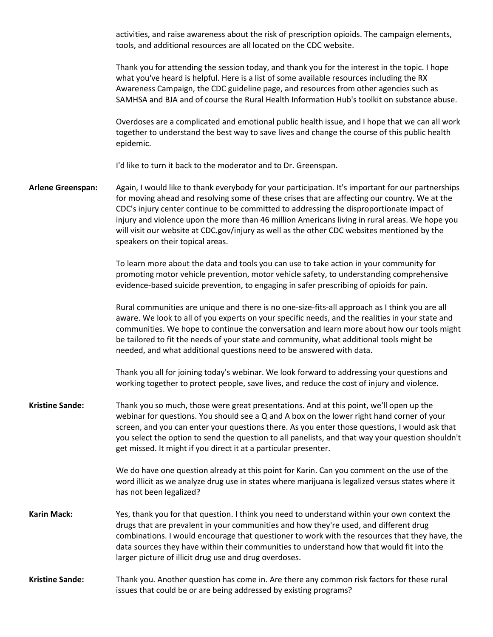activities, and raise awareness about the risk of prescription opioids. The campaign elements, tools, and additional resources are all located on the CDC website.

Thank you for attending the session today, and thank you for the interest in the topic. I hope what you've heard is helpful. Here is a list of some available resources including the RX Awareness Campaign, the CDC guideline page, and resources from other agencies such as SAMHSA and BJA and of course the Rural Health Information Hub's toolkit on substance abuse.

Overdoses are a complicated and emotional public health issue, and I hope that we can all work together to understand the best way to save lives and change the course of this public health epidemic.

I'd like to turn it back to the moderator and to Dr. Greenspan.

**Arlene Greenspan:** Again, I would like to thank everybody for your participation. It's important for our partnerships for moving ahead and resolving some of these crises that are affecting our country. We at the CDC's injury center continue to be committed to addressing the disproportionate impact of injury and violence upon the more than 46 million Americans living in rural areas. We hope you will visit our website at CDC.gov/injury as well as the other CDC websites mentioned by the speakers on their topical areas.

> To learn more about the data and tools you can use to take action in your community for promoting motor vehicle prevention, motor vehicle safety, to understanding comprehensive evidence-based suicide prevention, to engaging in safer prescribing of opioids for pain.

Rural communities are unique and there is no one-size-fits-all approach as I think you are all aware. We look to all of you experts on your specific needs, and the realities in your state and communities. We hope to continue the conversation and learn more about how our tools might be tailored to fit the needs of your state and community, what additional tools might be needed, and what additional questions need to be answered with data.

Thank you all for joining today's webinar. We look forward to addressing your questions and working together to protect people, save lives, and reduce the cost of injury and violence.

**Kristine Sande:** Thank you so much, those were great presentations. And at this point, we'll open up the webinar for questions. You should see a Q and A box on the lower right hand corner of your screen, and you can enter your questions there. As you enter those questions, I would ask that you select the option to send the question to all panelists, and that way your question shouldn't get missed. It might if you direct it at a particular presenter.

> We do have one question already at this point for Karin. Can you comment on the use of the word illicit as we analyze drug use in states where marijuana is legalized versus states where it has not been legalized?

- **Karin Mack:** Yes, thank you for that question. I think you need to understand within your own context the drugs that are prevalent in your communities and how they're used, and different drug combinations. I would encourage that questioner to work with the resources that they have, the data sources they have within their communities to understand how that would fit into the larger picture of illicit drug use and drug overdoses.
- **Kristine Sande:** Thank you. Another question has come in. Are there any common risk factors for these rural issues that could be or are being addressed by existing programs?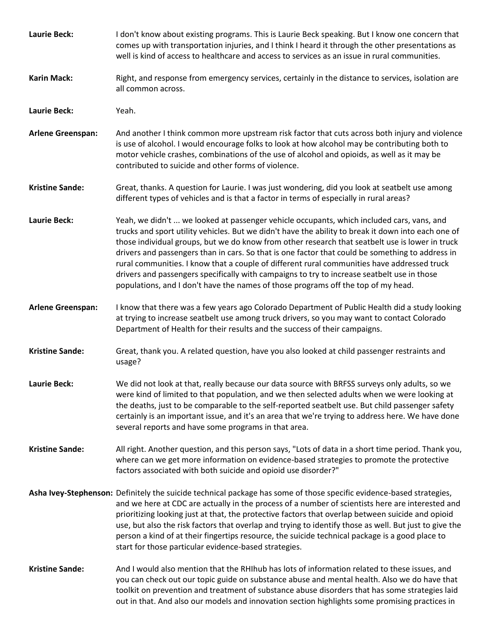| <b>Laurie Beck:</b>      | I don't know about existing programs. This is Laurie Beck speaking. But I know one concern that<br>comes up with transportation injuries, and I think I heard it through the other presentations as<br>well is kind of access to healthcare and access to services as an issue in rural communities.                                                                                                                                                                                                                                                                                                                                                                                       |
|--------------------------|--------------------------------------------------------------------------------------------------------------------------------------------------------------------------------------------------------------------------------------------------------------------------------------------------------------------------------------------------------------------------------------------------------------------------------------------------------------------------------------------------------------------------------------------------------------------------------------------------------------------------------------------------------------------------------------------|
| <b>Karin Mack:</b>       | Right, and response from emergency services, certainly in the distance to services, isolation are<br>all common across.                                                                                                                                                                                                                                                                                                                                                                                                                                                                                                                                                                    |
| <b>Laurie Beck:</b>      | Yeah.                                                                                                                                                                                                                                                                                                                                                                                                                                                                                                                                                                                                                                                                                      |
| <b>Arlene Greenspan:</b> | And another I think common more upstream risk factor that cuts across both injury and violence<br>is use of alcohol. I would encourage folks to look at how alcohol may be contributing both to<br>motor vehicle crashes, combinations of the use of alcohol and opioids, as well as it may be<br>contributed to suicide and other forms of violence.                                                                                                                                                                                                                                                                                                                                      |
| <b>Kristine Sande:</b>   | Great, thanks. A question for Laurie. I was just wondering, did you look at seatbelt use among<br>different types of vehicles and is that a factor in terms of especially in rural areas?                                                                                                                                                                                                                                                                                                                                                                                                                                                                                                  |
| <b>Laurie Beck:</b>      | Yeah, we didn't  we looked at passenger vehicle occupants, which included cars, vans, and<br>trucks and sport utility vehicles. But we didn't have the ability to break it down into each one of<br>those individual groups, but we do know from other research that seatbelt use is lower in truck<br>drivers and passengers than in cars. So that is one factor that could be something to address in<br>rural communities. I know that a couple of different rural communities have addressed truck<br>drivers and passengers specifically with campaigns to try to increase seatbelt use in those<br>populations, and I don't have the names of those programs off the top of my head. |
| <b>Arlene Greenspan:</b> | I know that there was a few years ago Colorado Department of Public Health did a study looking<br>at trying to increase seatbelt use among truck drivers, so you may want to contact Colorado<br>Department of Health for their results and the success of their campaigns.                                                                                                                                                                                                                                                                                                                                                                                                                |
| <b>Kristine Sande:</b>   | Great, thank you. A related question, have you also looked at child passenger restraints and<br>usage?                                                                                                                                                                                                                                                                                                                                                                                                                                                                                                                                                                                     |
| <b>Laurie Beck:</b>      | We did not look at that, really because our data source with BRFSS surveys only adults, so we<br>were kind of limited to that population, and we then selected adults when we were looking at<br>the deaths, just to be comparable to the self-reported seatbelt use. But child passenger safety<br>certainly is an important issue, and it's an area that we're trying to address here. We have done<br>several reports and have some programs in that area.                                                                                                                                                                                                                              |
| <b>Kristine Sande:</b>   | All right. Another question, and this person says, "Lots of data in a short time period. Thank you,<br>where can we get more information on evidence-based strategies to promote the protective<br>factors associated with both suicide and opioid use disorder?"                                                                                                                                                                                                                                                                                                                                                                                                                          |
|                          | Asha Ivey-Stephenson: Definitely the suicide technical package has some of those specific evidence-based strategies,<br>and we here at CDC are actually in the process of a number of scientists here are interested and<br>prioritizing looking just at that, the protective factors that overlap between suicide and opioid<br>use, but also the risk factors that overlap and trying to identify those as well. But just to give the<br>person a kind of at their fingertips resource, the suicide technical package is a good place to<br>start for those particular evidence-based strategies.                                                                                        |
| <b>Kristine Sande:</b>   | And I would also mention that the RHIhub has lots of information related to these issues, and<br>you can check out our topic guide on substance abuse and mental health. Also we do have that<br>toolkit on prevention and treatment of substance abuse disorders that has some strategies laid<br>out in that. And also our models and innovation section highlights some promising practices in                                                                                                                                                                                                                                                                                          |